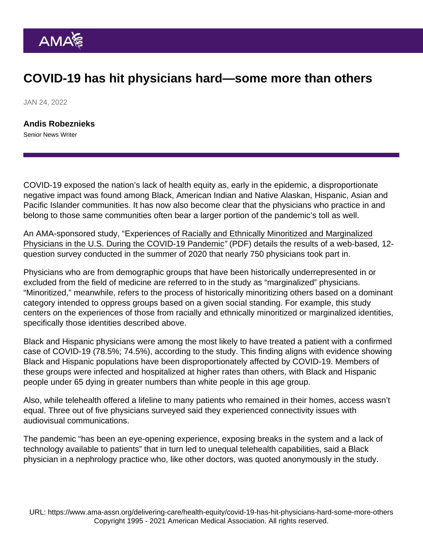## COVID-19 has hit physicians hard—some more than others

JAN 24, 2022

[Andis Robeznieks](https://www.ama-assn.org/news-leadership-viewpoints/authors-news-leadership-viewpoints/andis-robeznieks) Senior News Writer

COVID-19 exposed the nation's lack of [health equity](https://www.ama-assn.org/delivering-care/health-equity) as, early in the epidemic, a disproportionate negative impact was found among Black, American Indian and Native Alaskan, Hispanic, Asian and Pacific Islander communities. It has now also become clear that the physicians who practice in and belong to those same communities often bear a larger portion of the pandemic's toll as well.

An AMA-sponsored study, "[Experiences of Racially and Ethnically Minoritized and Marginalized](https://www.ama-assn.org/system/files/summary-report-covid-mmps-survey.pdf) [Physicians in the U.S. During the COVID-19 Pandemic"](https://www.ama-assn.org/system/files/summary-report-covid-mmps-survey.pdf) (PDF) details the results of a web-based, 12 question survey conducted in the summer of 2020 that nearly 750 physicians took part in.

Physicians who are from demographic groups that have been historically underrepresented in or excluded from the field of medicine are referred to in the study as "marginalized" physicians. "Minoritized," meanwhile, refers to the process of historically minoritizing others based on a dominant category intended to oppress groups based on a given social standing. For example, this study centers on the experiences of those from racially and ethnically minoritized or marginalized identities, specifically those identities described above.

Black and Hispanic physicians were among the most likely to have treated a patient with a confirmed case of COVID-19 (78.5%; 74.5%), according to the study. This finding aligns with evidence showing Black and Hispanic populations have been disproportionately affected by COVID-19. Members of these groups were infected and hospitalized at higher rates than others, with Black and Hispanic people under 65 dying in greater numbers than white people in this age group.

Also, while telehealth offered a lifeline to many patients who remained in their homes, access wasn't equal. Three out of five physicians surveyed said they experienced connectivity issues with audiovisual communications.

The pandemic "has been an eye-opening experience, exposing breaks in the system and a lack of technology available to patients" that in turn led to unequal telehealth capabilities, said a Black physician in a nephrology practice who, like other doctors, was quoted anonymously in the study.